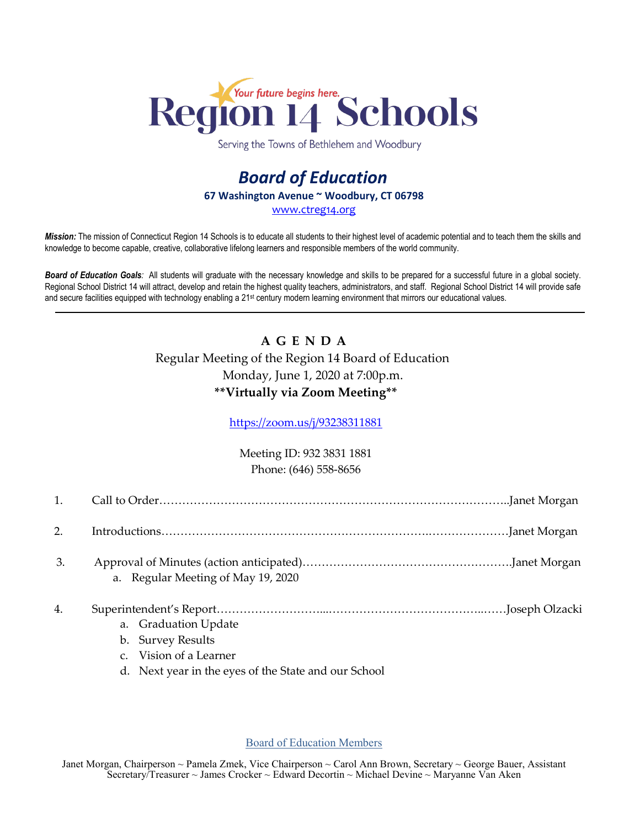

Serving the Towns of Bethlehem and Woodbury

## *Board of Education* **67 Washington Avenue ~ Woodbury, CT 06798** [www.ctreg14.org](http://www.ctreg14.org/)

*Mission:* The mission of Connecticut Region 14 Schools is to educate all students to their highest level of academic potential and to teach them the skills and knowledge to become capable, creative, collaborative lifelong learners and responsible members of the world community.

*Board of Education Goals:* All students will graduate with the necessary knowledge and skills to be prepared for a successful future in a global society. Regional School District 14 will attract, develop and retain the highest quality teachers, administrators, and staff. Regional School District 14 will provide safe and secure facilities equipped with technology enabling a 21<sup>st</sup> century modern learning environment that mirrors our educational values.

## **A G E N D A** Regular Meeting of the Region 14 Board of Education Monday, June 1, 2020 at 7:00p.m. **\*\*Virtually via Zoom Meeting\*\***

<https://zoom.us/j/93238311881>

Meeting ID: 932 3831 1881 Phone: (646) 558-8656

| 2. |                                                                                                                             |  |
|----|-----------------------------------------------------------------------------------------------------------------------------|--|
| 3. | a. Regular Meeting of May 19, 2020                                                                                          |  |
| 4. | a. Graduation Update<br>b. Survey Results<br>c. Vision of a Learner<br>d. Next year in the eyes of the State and our School |  |

Board of Education Members